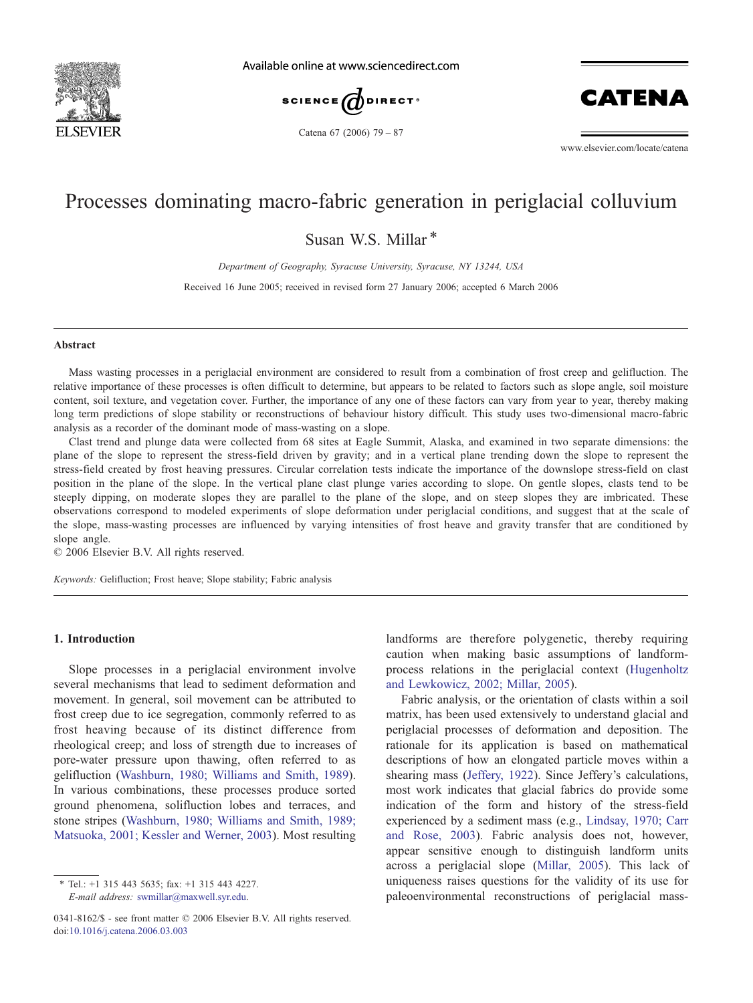

Available online at www.sciencedirect.com





Catena 67 (2006) 79 – 87

www.elsevier.com/locate/catena

# Processes dominating macro-fabric generation in periglacial colluvium

Susan W.S. Millar \*

Department of Geography, Syracuse University, Syracuse, NY 13244, USA

Received 16 June 2005; received in revised form 27 January 2006; accepted 6 March 2006

#### Abstract

Mass wasting processes in a periglacial environment are considered to result from a combination of frost creep and gelifluction. The relative importance of these processes is often difficult to determine, but appears to be related to factors such as slope angle, soil moisture content, soil texture, and vegetation cover. Further, the importance of any one of these factors can vary from year to year, thereby making long term predictions of slope stability or reconstructions of behaviour history difficult. This study uses two-dimensional macro-fabric analysis as a recorder of the dominant mode of mass-wasting on a slope.

Clast trend and plunge data were collected from 68 sites at Eagle Summit, Alaska, and examined in two separate dimensions: the plane of the slope to represent the stress-field driven by gravity; and in a vertical plane trending down the slope to represent the stress-field created by frost heaving pressures. Circular correlation tests indicate the importance of the downslope stress-field on clast position in the plane of the slope. In the vertical plane clast plunge varies according to slope. On gentle slopes, clasts tend to be steeply dipping, on moderate slopes they are parallel to the plane of the slope, and on steep slopes they are imbricated. These observations correspond to modeled experiments of slope deformation under periglacial conditions, and suggest that at the scale of the slope, mass-wasting processes are influenced by varying intensities of frost heave and gravity transfer that are conditioned by slope angle.

 $© 2006 Elsevier B.V. All rights reserved.$ 

Keywords: Gelifluction; Frost heave; Slope stability; Fabric analysis

# 1. Introduction

Slope processes in a periglacial environment involve several mechanisms that lead to sediment deformation and movement. In general, soil movement can be attributed to frost creep due to ice segregation, commonly referred to as frost heaving because of its distinct difference from rheological creep; and loss of strength due to increases of pore-water pressure upon thawing, often referred to as gelifluction [\(Washburn, 1980; Williams and Smith, 1989\)](#page-8-0). In various combinations, these processes produce sorted ground phenomena, solifluction lobes and terraces, and stone stripes ([Washburn, 1980; Williams and Smith, 1989;](#page-8-0) Matsuoka, 2001; Kessler and Werner, 2003). Most resulting

E-mail address: swmillar@maxwell.syr.edu.

landforms are therefore polygenetic, thereby requiring caution when making basic assumptions of landformprocess relations in the periglacial context ([Hugenholtz](#page-7-0) and Lewkowicz, 2002; Millar, 2005).

Fabric analysis, or the orientation of clasts within a soil matrix, has been used extensively to understand glacial and periglacial processes of deformation and deposition. The rationale for its application is based on mathematical descriptions of how an elongated particle moves within a shearing mass ([Jeffery, 1922\)](#page-7-0). Since Jeffery's calculations, most work indicates that glacial fabrics do provide some indication of the form and history of the stress-field experienced by a sediment mass (e.g., [Lindsay, 1970; Carr](#page-7-0) and Rose, 2003). Fabric analysis does not, however, appear sensitive enough to distinguish landform units across a periglacial slope ([Millar, 2005\)](#page-8-0). This lack of uniqueness raises questions for the validity of its use for paleoenvironmental reconstructions of periglacial mass-

<sup>\*</sup> Tel.: +1 315 443 5635; fax: +1 315 443 4227.

<sup>0341-8162/\$ -</sup> see front matter © 2006 Elsevier B.V. All rights reserved. doi:[10.1016/j.catena.2006.03.003](http://dx.doi.org/10.1016/j.catena.2006.03.003)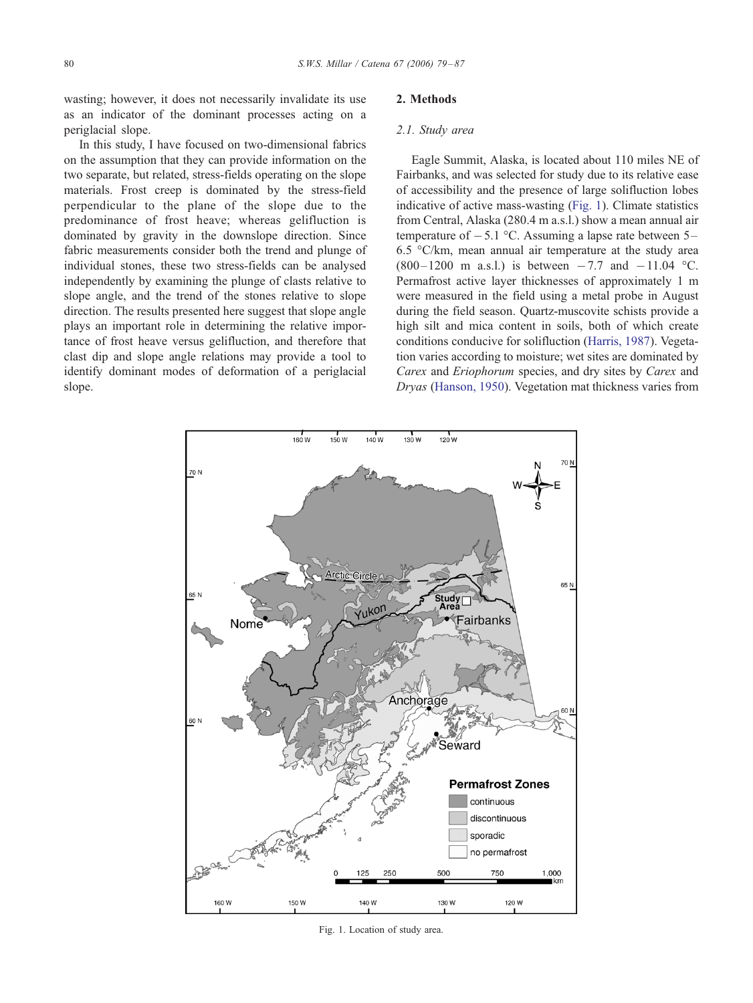wasting; however, it does not necessarily invalidate its use as an indicator of the dominant processes acting on a periglacial slope.

In this study, I have focused on two-dimensional fabrics on the assumption that they can provide information on the two separate, but related, stress-fields operating on the slope materials. Frost creep is dominated by the stress-field perpendicular to the plane of the slope due to the predominance of frost heave; whereas gelifluction is dominated by gravity in the downslope direction. Since fabric measurements consider both the trend and plunge of individual stones, these two stress-fields can be analysed independently by examining the plunge of clasts relative to slope angle, and the trend of the stones relative to slope direction. The results presented here suggest that slope angle plays an important role in determining the relative importance of frost heave versus gelifluction, and therefore that clast dip and slope angle relations may provide a tool to identify dominant modes of deformation of a periglacial slope.

# 2. Methods

#### 2.1. Study area

Eagle Summit, Alaska, is located about 110 miles NE of Fairbanks, and was selected for study due to its relative ease of accessibility and the presence of large solifluction lobes indicative of active mass-wasting (Fig. 1). Climate statistics from Central, Alaska (280.4 m a.s.l.) show a mean annual air temperature of  $-5.1$  °C. Assuming a lapse rate between 5– 6.5  $\degree$ C/km, mean annual air temperature at the study area  $(800-1200 \text{ m a.s.}!)$  is between  $-7.7$  and  $-11.04$  °C. Permafrost active layer thicknesses of approximately 1 m were measured in the field using a metal probe in August during the field season. Quartz-muscovite schists provide a high silt and mica content in soils, both of which create conditions conducive for solifluction ([Harris, 1987\)](#page-7-0). Vegetation varies according to moisture; wet sites are dominated by Carex and Eriophorum species, and dry sites by Carex and Dryas ([Hanson, 1950\)](#page-7-0). Vegetation mat thickness varies from



Fig. 1. Location of study area.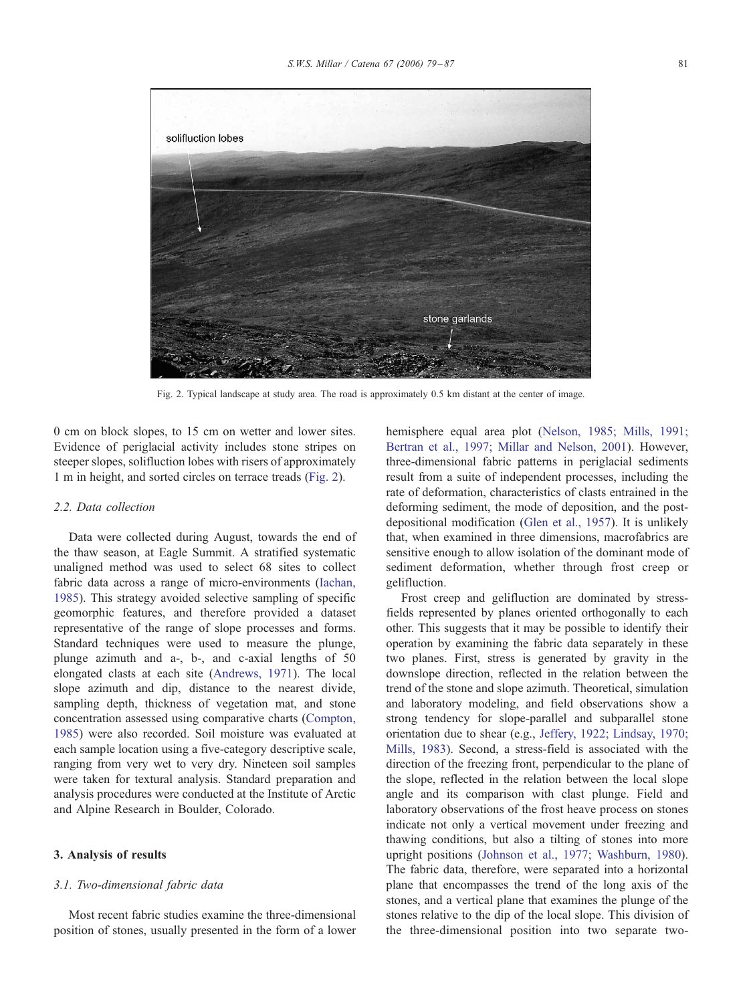

Fig. 2. Typical landscape at study area. The road is approximately 0.5 km distant at the center of image.

0 cm on block slopes, to 15 cm on wetter and lower sites. Evidence of periglacial activity includes stone stripes on steeper slopes, solifluction lobes with risers of approximately 1 m in height, and sorted circles on terrace treads (Fig. 2).

#### 2.2. Data collection

Data were collected during August, towards the end of the thaw season, at Eagle Summit. A stratified systematic unaligned method was used to select 68 sites to collect fabric data across a range of micro-environments ([Iachan,](#page-7-0) 1985). This strategy avoided selective sampling of specific geomorphic features, and therefore provided a dataset representative of the range of slope processes and forms. Standard techniques were used to measure the plunge, plunge azimuth and a-, b-, and c-axial lengths of 50 elongated clasts at each site ([Andrews, 1971\)](#page-7-0). The local slope azimuth and dip, distance to the nearest divide, sampling depth, thickness of vegetation mat, and stone concentration assessed using comparative charts ([Compton,](#page-7-0) 1985) were also recorded. Soil moisture was evaluated at each sample location using a five-category descriptive scale, ranging from very wet to very dry. Nineteen soil samples were taken for textural analysis. Standard preparation and analysis procedures were conducted at the Institute of Arctic and Alpine Research in Boulder, Colorado.

#### 3. Analysis of results

#### 3.1. Two-dimensional fabric data

Most recent fabric studies examine the three-dimensional position of stones, usually presented in the form of a lower hemisphere equal area plot ([Nelson, 1985; Mills, 1991;](#page-8-0) Bertran et al., 1997; Millar and Nelson, 2001). However, three-dimensional fabric patterns in periglacial sediments result from a suite of independent processes, including the rate of deformation, characteristics of clasts entrained in the deforming sediment, the mode of deposition, and the postdepositional modification ([Glen et al., 1957\)](#page-7-0). It is unlikely that, when examined in three dimensions, macrofabrics are sensitive enough to allow isolation of the dominant mode of sediment deformation, whether through frost creep or gelifluction.

Frost creep and gelifluction are dominated by stressfields represented by planes oriented orthogonally to each other. This suggests that it may be possible to identify their operation by examining the fabric data separately in these two planes. First, stress is generated by gravity in the downslope direction, reflected in the relation between the trend of the stone and slope azimuth. Theoretical, simulation and laboratory modeling, and field observations show a strong tendency for slope-parallel and subparallel stone orientation due to shear (e.g., [Jeffery, 1922; Lindsay, 1970;](#page-7-0) Mills, 1983). Second, a stress-field is associated with the direction of the freezing front, perpendicular to the plane of the slope, reflected in the relation between the local slope angle and its comparison with clast plunge. Field and laboratory observations of the frost heave process on stones indicate not only a vertical movement under freezing and thawing conditions, but also a tilting of stones into more upright positions ([Johnson et al., 1977; Washburn, 1980\)](#page-7-0). The fabric data, therefore, were separated into a horizontal plane that encompasses the trend of the long axis of the stones, and a vertical plane that examines the plunge of the stones relative to the dip of the local slope. This division of the three-dimensional position into two separate two-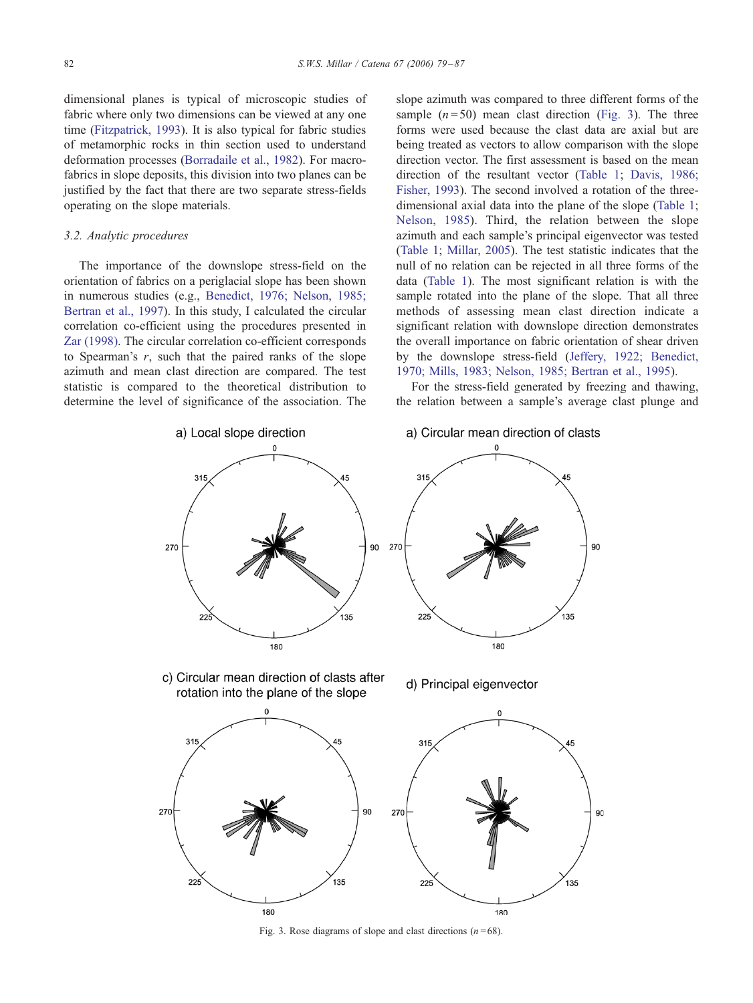<span id="page-3-0"></span>dimensional planes is typical of microscopic studies of fabric where only two dimensions can be viewed at any one time ([Fitzpatrick, 1993\)](#page-7-0). It is also typical for fabric studies of metamorphic rocks in thin section used to understand deformation processes ([Borradaile et al., 1982\)](#page-7-0). For macrofabrics in slope deposits, this division into two planes can be justified by the fact that there are two separate stress-fields operating on the slope materials.

### 3.2. Analytic procedures

The importance of the downslope stress-field on the orientation of fabrics on a periglacial slope has been shown in numerous studies (e.g., [Benedict, 1976; Nelson, 1985;](#page-7-0) Bertran et al., 1997). In this study, I calculated the circular correlation co-efficient using the procedures presented in [Zar \(1998\).](#page-8-0) The circular correlation co-efficient corresponds to Spearman's  $r$ , such that the paired ranks of the slope azimuth and mean clast direction are compared. The test statistic is compared to the theoretical distribution to determine the level of significance of the association. The slope azimuth was compared to three different forms of the sample  $(n=50)$  mean clast direction (Fig. 3). The three forms were used because the clast data are axial but are being treated as vectors to allow comparison with the slope direction vector. The first assessment is based on the mean direction of the resultant vector ([Table 1;](#page-4-0) [Davis, 1986;](#page-7-0) Fisher, 1993). The second involved a rotation of the threedimensional axial data into the plane of the slope ([Table 1;](#page-4-0) [Nelson, 1985\)](#page-8-0). Third, the relation between the slope azimuth and each sample's principal eigenvector was tested ([Table 1;](#page-4-0) [Millar, 2005\)](#page-8-0). The test statistic indicates that the null of no relation can be rejected in all three forms of the data ([Table 1\)](#page-4-0). The most significant relation is with the sample rotated into the plane of the slope. That all three methods of assessing mean clast direction indicate a significant relation with downslope direction demonstrates the overall importance on fabric orientation of shear driven by the downslope stress-field ([Jeffery, 1922; Benedict,](#page-7-0) 1970; Mills, 1983; Nelson, 1985; Bertran et al., 1995).

For the stress-field generated by freezing and thawing, the relation between a sample's average clast plunge and



Fig. 3. Rose diagrams of slope and clast directions ( $n = 68$ ).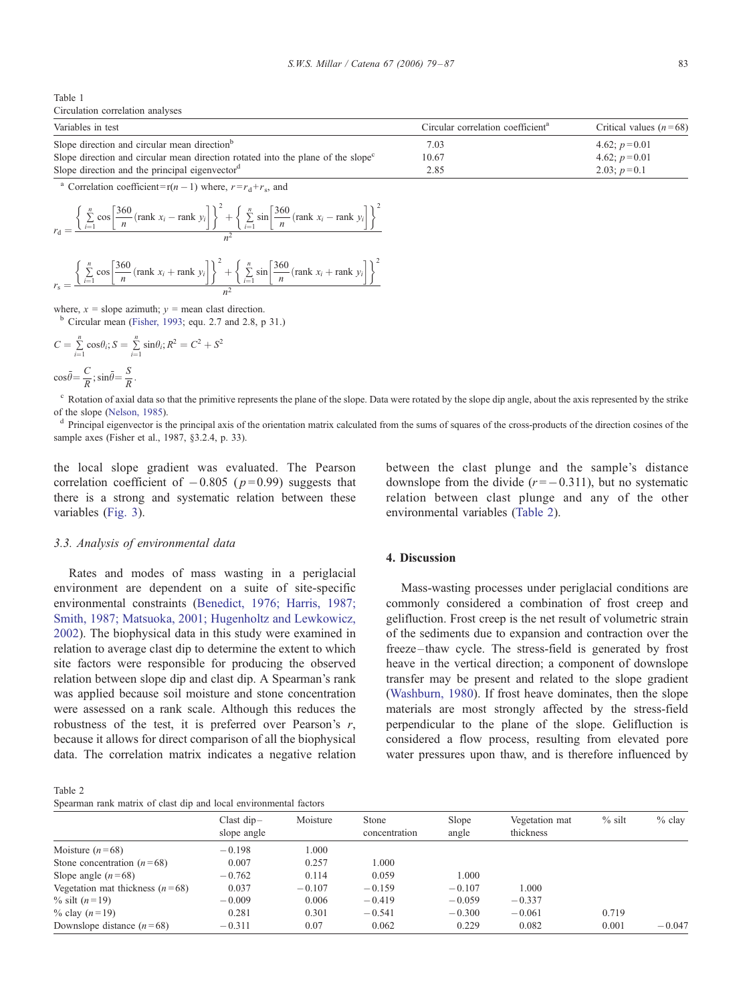<span id="page-4-0"></span>

| Table 1                          |  |
|----------------------------------|--|
| Circulation correlation analyses |  |

| Variables in test                                                                            | Circular correlation coefficient <sup>a</sup> | Critical values $(n=68)$ |
|----------------------------------------------------------------------------------------------|-----------------------------------------------|--------------------------|
| Slope direction and circular mean direction <sup>b</sup>                                     | 7.03                                          | 4.62; $p=0.01$           |
| Slope direction and circular mean direction rotated into the plane of the slope <sup>c</sup> | 10.67                                         | 4.62; $p=0.01$           |
| Slope direction and the principal eigenvector <sup>d</sup>                                   | 2.85                                          | 2.03; $p=0.1$            |

<sup>a</sup> Correlation coefficient=r(n – 1) where,  $r = r_d + r_s$ , and

$$
r_{\rm d} = \frac{\left\{\sum_{i=1}^{n} \cos \left[\frac{360}{n} (\text{rank } x_i - \text{rank } y_i)\right]\right\}^2 + \left\{\sum_{i=1}^{n} \sin \left[\frac{360}{n} (\text{rank } x_i - \text{rank } y_i)\right]\right\}^2}{n^2}
$$

$$
r_{s} = \frac{\left\{\sum_{i=1}^{n} \cos \left[\frac{360}{n} (\text{rank } x_{i} + \text{rank } y_{i}\right]\right\}^{2} + \left\{\sum_{i=1}^{n} \sin \left[\frac{360}{n} (\text{rank } x_{i} + \text{rank } y_{i}\right]\right\}^{2}}{n^{2}}
$$

where,  $x =$  slope azimuth;  $y =$  mean clast direction.<br><sup>b</sup> Circular mean ([Fisher, 1993;](#page-7-0) equ. 2.7 and 2.8, p 31.)

$$
C = \sum_{i=1}^{n} \cos \theta_i; S = \sum_{i=1}^{n} \sin \theta_i; R^2 = C^2 + S^2
$$
  

$$
\cos \overline{\theta} = \frac{C}{R}; \sin \overline{\theta} = \frac{S}{R}.
$$

<sup>c</sup> Rotation of axial data so that the primitive represents the plane of the slope. Data were rotated by the slope dip angle, about the axis represented by the strike of the slope ([Nelson, 1985\)](#page-8-0).<br><sup>d</sup> Principal eigenvector is the principal axis of the orientation matrix calculated from the sums of squares of the cross-products of the direction cosines of the

sample axes (Fisher et al., 1987, §3.2.4, p. 33).

the local slope gradient was evaluated. The Pearson correlation coefficient of  $-0.805$  ( $p=0.99$ ) suggests that there is a strong and systematic relation between these variables ([Fig. 3\)](#page-3-0).

# 3.3. Analysis of environmental data

Rates and modes of mass wasting in a periglacial environment are dependent on a suite of site-specific environmental constraints ([Benedict, 1976; Harris, 1987;](#page-7-0) Smith, 1987; Matsuoka, 2001; Hugenholtz and Lewkowicz, 2002). The biophysical data in this study were examined in relation to average clast dip to determine the extent to which site factors were responsible for producing the observed relation between slope dip and clast dip. A Spearman's rank was applied because soil moisture and stone concentration were assessed on a rank scale. Although this reduces the robustness of the test, it is preferred over Pearson's  $r$ , because it allows for direct comparison of all the biophysical data. The correlation matrix indicates a negative relation

between the clast plunge and the sample's distance downslope from the divide  $(r=-0.311)$ , but no systematic relation between clast plunge and any of the other environmental variables (Table 2).

# 4. Discussion

Mass-wasting processes under periglacial conditions are commonly considered a combination of frost creep and gelifluction. Frost creep is the net result of volumetric strain of the sediments due to expansion and contraction over the freeze –thaw cycle. The stress-field is generated by frost heave in the vertical direction; a component of downslope transfer may be present and related to the slope gradient ([Washburn, 1980\)](#page-8-0). If frost heave dominates, then the slope materials are most strongly affected by the stress-field perpendicular to the plane of the slope. Gelifluction is considered a flow process, resulting from elevated pore water pressures upon thaw, and is therefore influenced by

Table 2 Spearman rank matrix of clast dip and local environmental factors

| spearman failt matrix of clast the and local chyfromhemaf factols |                             |          |                        |                |                             |          |          |  |  |  |
|-------------------------------------------------------------------|-----------------------------|----------|------------------------|----------------|-----------------------------|----------|----------|--|--|--|
|                                                                   | Clast $dip-$<br>slope angle | Moisture | Stone<br>concentration | Slope<br>angle | Vegetation mat<br>thickness | $%$ silt | $%$ clay |  |  |  |
| Moisture $(n=68)$                                                 | $-0.198$                    | 1.000    |                        |                |                             |          |          |  |  |  |
| Stone concentration $(n=68)$                                      | 0.007                       | 0.257    | 1.000                  |                |                             |          |          |  |  |  |
| Slope angle $(n=68)$                                              | $-0.762$                    | 0.114    | 0.059                  | 1.000          |                             |          |          |  |  |  |
| Vegetation mat thickness $(n=68)$                                 | 0.037                       | $-0.107$ | $-0.159$               | $-0.107$       | 1.000                       |          |          |  |  |  |
| % silt $(n=19)$                                                   | $-0.009$                    | 0.006    | $-0.419$               | $-0.059$       | $-0.337$                    |          |          |  |  |  |
| % clay $(n=19)$                                                   | 0.281                       | 0.301    | $-0.541$               | $-0.300$       | $-0.061$                    | 0.719    |          |  |  |  |
| Downslope distance $(n=68)$                                       | $-0.311$                    | 0.07     | 0.062                  | 0.229          | 0.082                       | 0.001    | $-0.047$ |  |  |  |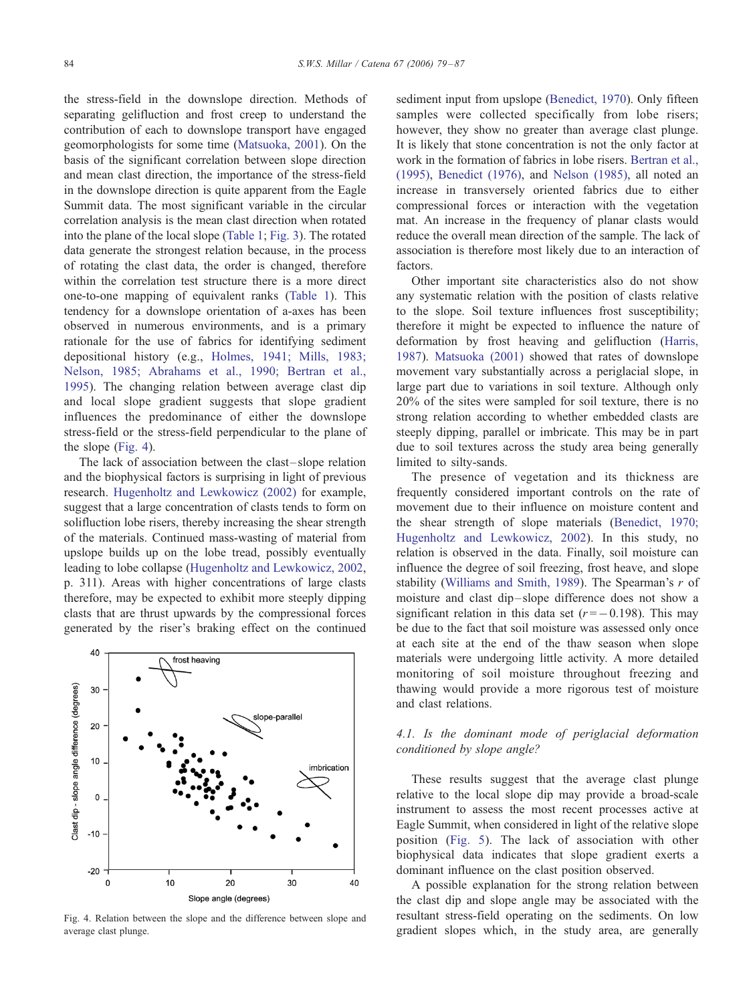the stress-field in the downslope direction. Methods of separating gelifluction and frost creep to understand the contribution of each to downslope transport have engaged geomorphologists for some time ([Matsuoka, 2001\)](#page-7-0). On the basis of the significant correlation between slope direction and mean clast direction, the importance of the stress-field in the downslope direction is quite apparent from the Eagle Summit data. The most significant variable in the circular correlation analysis is the mean clast direction when rotated into the plane of the local slope ([Table 1;](#page-4-0) [Fig. 3\)](#page-3-0). The rotated data generate the strongest relation because, in the process of rotating the clast data, the order is changed, therefore within the correlation test structure there is a more direct one-to-one mapping of equivalent ranks ([Table 1\)](#page-4-0). This tendency for a downslope orientation of a-axes has been observed in numerous environments, and is a primary rationale for the use of fabrics for identifying sediment depositional history (e.g., [Holmes, 1941; Mills, 1983;](#page-7-0) Nelson, 1985; Abrahams et al., 1990; Bertran et al., 1995). The changing relation between average clast dip and local slope gradient suggests that slope gradient influences the predominance of either the downslope stress-field or the stress-field perpendicular to the plane of the slope (Fig. 4).

The lack of association between the clast – slope relation and the biophysical factors is surprising in light of previous research. [Hugenholtz and Lewkowicz \(2002\)](#page-7-0) for example, suggest that a large concentration of clasts tends to form on solifluction lobe risers, thereby increasing the shear strength of the materials. Continued mass-wasting of material from upslope builds up on the lobe tread, possibly eventually leading to lobe collapse ([Hugenholtz and Lewkowicz, 2002,](#page-7-0) p. 311). Areas with higher concentrations of large clasts therefore, may be expected to exhibit more steeply dipping clasts that are thrust upwards by the compressional forces generated by the riser's braking effect on the continued



Fig. 4. Relation between the slope and the difference between slope and average clast plunge.

sediment input from upslope ([Benedict, 1970\)](#page-7-0). Only fifteen samples were collected specifically from lobe risers; however, they show no greater than average clast plunge. It is likely that stone concentration is not the only factor at work in the formation of fabrics in lobe risers. [Bertran et al.,](#page-7-0) (1995), [Benedict \(1976\),](#page-7-0) and [Nelson \(1985\),](#page-8-0) all noted an increase in transversely oriented fabrics due to either compressional forces or interaction with the vegetation mat. An increase in the frequency of planar clasts would reduce the overall mean direction of the sample. The lack of association is therefore most likely due to an interaction of factors.

Other important site characteristics also do not show any systematic relation with the position of clasts relative to the slope. Soil texture influences frost susceptibility; therefore it might be expected to influence the nature of deformation by frost heaving and gelifluction ([Harris,](#page-7-0) 1987). [Matsuoka \(2001\)](#page-7-0) showed that rates of downslope movement vary substantially across a periglacial slope, in large part due to variations in soil texture. Although only 20% of the sites were sampled for soil texture, there is no strong relation according to whether embedded clasts are steeply dipping, parallel or imbricate. This may be in part due to soil textures across the study area being generally limited to silty-sands.

The presence of vegetation and its thickness are frequently considered important controls on the rate of movement due to their influence on moisture content and the shear strength of slope materials ([Benedict, 1970;](#page-7-0) Hugenholtz and Lewkowicz, 2002). In this study, no relation is observed in the data. Finally, soil moisture can influence the degree of soil freezing, frost heave, and slope stability ([Williams and Smith, 1989\)](#page-8-0). The Spearman's  $r$  of moisture and clast dip-slope difference does not show a significant relation in this data set  $(r = -0.198)$ . This may be due to the fact that soil moisture was assessed only once at each site at the end of the thaw season when slope materials were undergoing little activity. A more detailed monitoring of soil moisture throughout freezing and thawing would provide a more rigorous test of moisture and clast relations.

# 4.1. Is the dominant mode of periglacial deformation conditioned by slope angle?

These results suggest that the average clast plunge relative to the local slope dip may provide a broad-scale instrument to assess the most recent processes active at Eagle Summit, when considered in light of the relative slope position ([Fig. 5\)](#page-6-0). The lack of association with other biophysical data indicates that slope gradient exerts a dominant influence on the clast position observed.

A possible explanation for the strong relation between the clast dip and slope angle may be associated with the resultant stress-field operating on the sediments. On low gradient slopes which, in the study area, are generally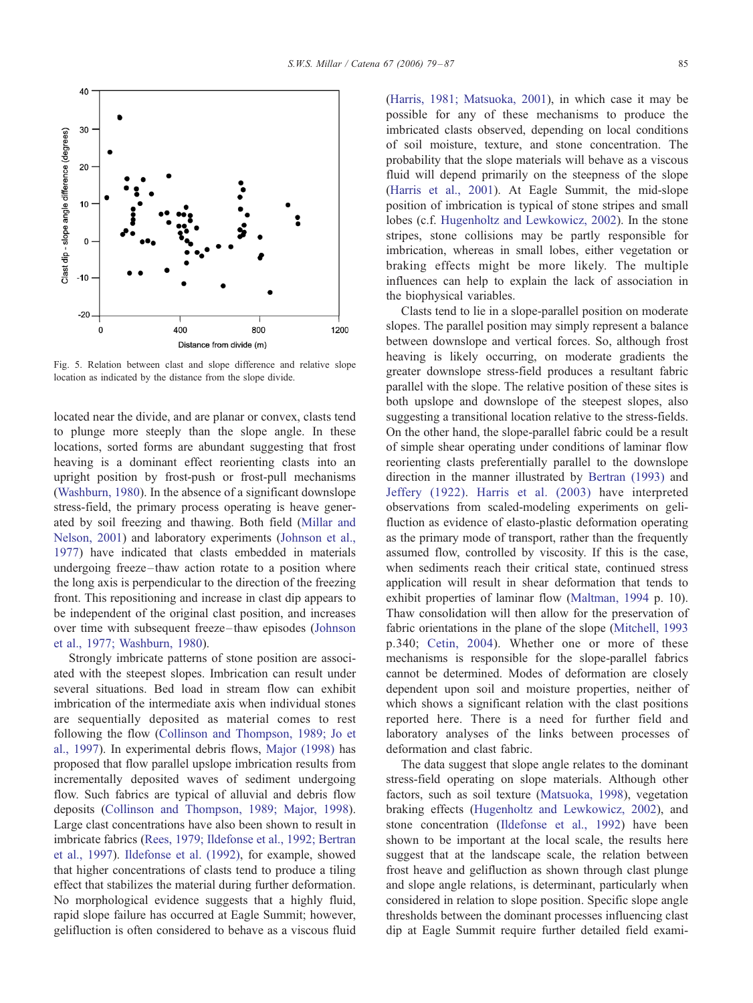<span id="page-6-0"></span>

Fig. 5. Relation between clast and slope difference and relative slope location as indicated by the distance from the slope divide.

located near the divide, and are planar or convex, clasts tend to plunge more steeply than the slope angle. In these locations, sorted forms are abundant suggesting that frost heaving is a dominant effect reorienting clasts into an upright position by frost-push or frost-pull mechanisms ([Washburn, 1980\)](#page-8-0). In the absence of a significant downslope stress-field, the primary process operating is heave generated by soil freezing and thawing. Both field ([Millar and](#page-8-0) Nelson, 2001) and laboratory experiments ([Johnson et al.,](#page-7-0) 1977) have indicated that clasts embedded in materials undergoing freeze-thaw action rotate to a position where the long axis is perpendicular to the direction of the freezing front. This repositioning and increase in clast dip appears to be independent of the original clast position, and increases over time with subsequent freeze-thaw episodes ([Johnson](#page-7-0) et al., 1977; Washburn, 1980).

Strongly imbricate patterns of stone position are associated with the steepest slopes. Imbrication can result under several situations. Bed load in stream flow can exhibit imbrication of the intermediate axis when individual stones are sequentially deposited as material comes to rest following the flow ([Collinson and Thompson, 1989; Jo et](#page-7-0) al., 1997). In experimental debris flows, [Major \(1998\)](#page-7-0) has proposed that flow parallel upslope imbrication results from incrementally deposited waves of sediment undergoing flow. Such fabrics are typical of alluvial and debris flow deposits ([Collinson and Thompson, 1989; Major, 1998\)](#page-7-0). Large clast concentrations have also been shown to result in imbricate fabrics ([Rees, 1979; Ildefonse et al., 1992; Bertran](#page-8-0) et al., 1997). [Ildefonse et al. \(1992\),](#page-7-0) for example, showed that higher concentrations of clasts tend to produce a tiling effect that stabilizes the material during further deformation. No morphological evidence suggests that a highly fluid, rapid slope failure has occurred at Eagle Summit; however, gelifluction is often considered to behave as a viscous fluid ([Harris, 1981; Matsuoka, 2001\)](#page-7-0), in which case it may be possible for any of these mechanisms to produce the imbricated clasts observed, depending on local conditions of soil moisture, texture, and stone concentration. The probability that the slope materials will behave as a viscous fluid will depend primarily on the steepness of the slope ([Harris et al., 2001\)](#page-7-0). At Eagle Summit, the mid-slope position of imbrication is typical of stone stripes and small lobes (c.f. [Hugenholtz and Lewkowicz, 2002\)](#page-7-0). In the stone stripes, stone collisions may be partly responsible for imbrication, whereas in small lobes, either vegetation or braking effects might be more likely. The multiple influences can help to explain the lack of association in the biophysical variables.

Clasts tend to lie in a slope-parallel position on moderate slopes. The parallel position may simply represent a balance between downslope and vertical forces. So, although frost heaving is likely occurring, on moderate gradients the greater downslope stress-field produces a resultant fabric parallel with the slope. The relative position of these sites is both upslope and downslope of the steepest slopes, also suggesting a transitional location relative to the stress-fields. On the other hand, the slope-parallel fabric could be a result of simple shear operating under conditions of laminar flow reorienting clasts preferentially parallel to the downslope direction in the manner illustrated by [Bertran \(1993\)](#page-7-0) and [Jeffery \(1922\).](#page-7-0) [Harris et al. \(2003\)](#page-7-0) have interpreted observations from scaled-modeling experiments on gelifluction as evidence of elasto-plastic deformation operating as the primary mode of transport, rather than the frequently assumed flow, controlled by viscosity. If this is the case, when sediments reach their critical state, continued stress application will result in shear deformation that tends to exhibit properties of laminar flow ([Maltman, 1994](#page-7-0) p. 10). Thaw consolidation will then allow for the preservation of fabric orientations in the plane of the slope ([Mitchell, 1993](#page-8-0) p.340; [Cetin, 2004\)](#page-7-0). Whether one or more of these mechanisms is responsible for the slope-parallel fabrics cannot be determined. Modes of deformation are closely dependent upon soil and moisture properties, neither of which shows a significant relation with the clast positions reported here. There is a need for further field and laboratory analyses of the links between processes of deformation and clast fabric.

The data suggest that slope angle relates to the dominant stress-field operating on slope materials. Although other factors, such as soil texture ([Matsuoka, 1998\)](#page-7-0), vegetation braking effects ([Hugenholtz and Lewkowicz, 2002\)](#page-7-0), and stone concentration ([Ildefonse et al., 1992\)](#page-7-0) have been shown to be important at the local scale, the results here suggest that at the landscape scale, the relation between frost heave and gelifluction as shown through clast plunge and slope angle relations, is determinant, particularly when considered in relation to slope position. Specific slope angle thresholds between the dominant processes influencing clast dip at Eagle Summit require further detailed field exami-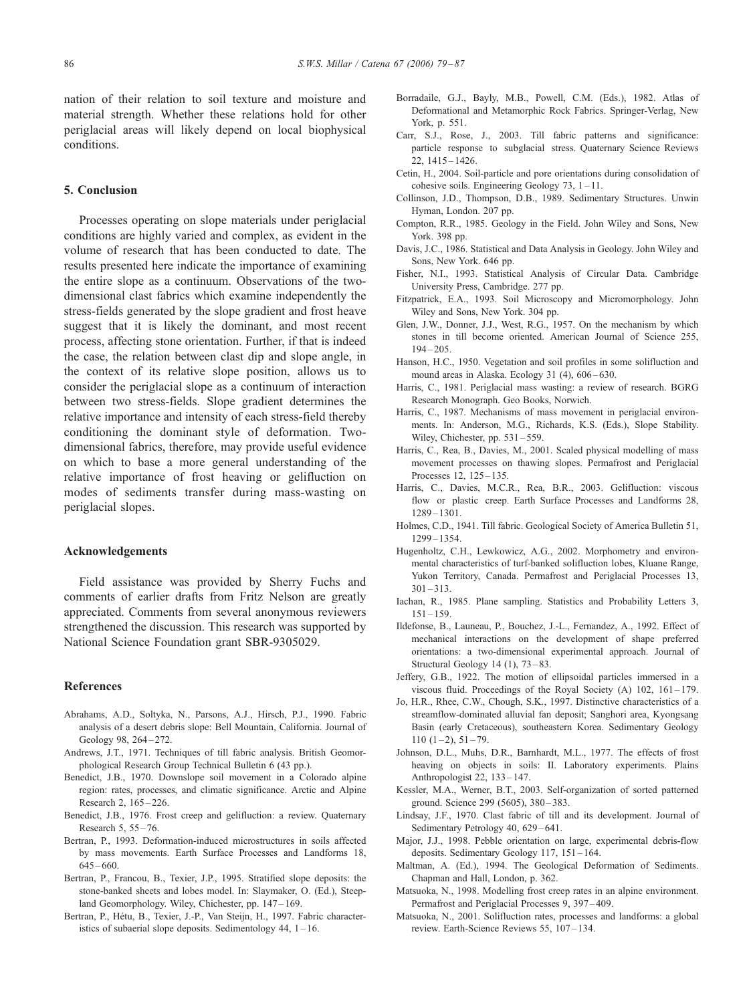<span id="page-7-0"></span>nation of their relation to soil texture and moisture and material strength. Whether these relations hold for other periglacial areas will likely depend on local biophysical conditions.

# 5. Conclusion

Processes operating on slope materials under periglacial conditions are highly varied and complex, as evident in the volume of research that has been conducted to date. The results presented here indicate the importance of examining the entire slope as a continuum. Observations of the twodimensional clast fabrics which examine independently the stress-fields generated by the slope gradient and frost heave suggest that it is likely the dominant, and most recent process, affecting stone orientation. Further, if that is indeed the case, the relation between clast dip and slope angle, in the context of its relative slope position, allows us to consider the periglacial slope as a continuum of interaction between two stress-fields. Slope gradient determines the relative importance and intensity of each stress-field thereby conditioning the dominant style of deformation. Twodimensional fabrics, therefore, may provide useful evidence on which to base a more general understanding of the relative importance of frost heaving or gelifluction on modes of sediments transfer during mass-wasting on periglacial slopes.

#### Acknowledgements

Field assistance was provided by Sherry Fuchs and comments of earlier drafts from Fritz Nelson are greatly appreciated. Comments from several anonymous reviewers strengthened the discussion. This research was supported by National Science Foundation grant SBR-9305029.

# References

- Abrahams, A.D., Soltyka, N., Parsons, A.J., Hirsch, P.J., 1990. Fabric analysis of a desert debris slope: Bell Mountain, California. Journal of Geology 98, 264-272.
- Andrews, J.T., 1971. Techniques of till fabric analysis. British Geomorphological Research Group Technical Bulletin 6 (43 pp.).
- Benedict, J.B., 1970. Downslope soil movement in a Colorado alpine region: rates, processes, and climatic significance. Arctic and Alpine Research 2, 165 – 226.
- Benedict, J.B., 1976. Frost creep and gelifluction: a review. Quaternary Research 5, 55 – 76.
- Bertran, P., 1993. Deformation-induced microstructures in soils affected by mass movements. Earth Surface Processes and Landforms 18,  $645 - 660.$
- Bertran, P., Francou, B., Texier, J.P., 1995. Stratified slope deposits: the stone-banked sheets and lobes model. In: Slaymaker, O. (Ed.), Steepland Geomorphology. Wiley, Chichester, pp. 147-169.
- Bertran, P., Hétu, B., Texier, J.-P., Van Steijn, H., 1997. Fabric characteristics of subaerial slope deposits. Sedimentology 44, 1 – 16.
- Borradaile, G.J., Bayly, M.B., Powell, C.M. (Eds.), 1982. Atlas of Deformational and Metamorphic Rock Fabrics. Springer-Verlag, New York, p. 551.
- Carr, S.J., Rose, J., 2003. Till fabric patterns and significance: particle response to subglacial stress. Quaternary Science Reviews 22, 1415 – 1426.
- Cetin, H., 2004. Soil-particle and pore orientations during consolidation of cohesive soils. Engineering Geology 73, 1-11.
- Collinson, J.D., Thompson, D.B., 1989. Sedimentary Structures. Unwin Hyman, London. 207 pp.
- Compton, R.R., 1985. Geology in the Field. John Wiley and Sons, New York. 398 pp.
- Davis, J.C., 1986. Statistical and Data Analysis in Geology. John Wiley and Sons, New York. 646 pp.
- Fisher, N.I., 1993. Statistical Analysis of Circular Data. Cambridge University Press, Cambridge. 277 pp.
- Fitzpatrick, E.A., 1993. Soil Microscopy and Micromorphology. John Wiley and Sons, New York. 304 pp.
- Glen, J.W., Donner, J.J., West, R.G., 1957. On the mechanism by which stones in till become oriented. American Journal of Science 255,  $194 - 205$ .
- Hanson, H.C., 1950. Vegetation and soil profiles in some solifluction and mound areas in Alaska. Ecology 31  $(4)$ , 606-630.
- Harris, C., 1981. Periglacial mass wasting: a review of research. BGRG Research Monograph. Geo Books, Norwich.
- Harris, C., 1987. Mechanisms of mass movement in periglacial environments. In: Anderson, M.G., Richards, K.S. (Eds.), Slope Stability. Wiley, Chichester, pp. 531-559.
- Harris, C., Rea, B., Davies, M., 2001. Scaled physical modelling of mass movement processes on thawing slopes. Permafrost and Periglacial Processes 12, 125-135.
- Harris, C., Davies, M.C.R., Rea, B.R., 2003. Gelifluction: viscous flow or plastic creep. Earth Surface Processes and Landforms 28, 1289 – 1301.
- Holmes, C.D., 1941. Till fabric. Geological Society of America Bulletin 51, 1299 – 1354.
- Hugenholtz, C.H., Lewkowicz, A.G., 2002. Morphometry and environmental characteristics of turf-banked solifluction lobes, Kluane Range, Yukon Territory, Canada. Permafrost and Periglacial Processes 13,  $301 - 313$ .
- Iachan, R., 1985. Plane sampling. Statistics and Probability Letters 3,  $151 - 159.$
- Ildefonse, B., Launeau, P., Bouchez, J.-L., Fernandez, A., 1992. Effect of mechanical interactions on the development of shape preferred orientations: a two-dimensional experimental approach. Journal of Structural Geology 14 (1), 73-83.
- Jeffery, G.B., 1922. The motion of ellipsoidal particles immersed in a viscous fluid. Proceedings of the Royal Society (A) 102, 161-179.
- Jo, H.R., Rhee, C.W., Chough, S.K., 1997. Distinctive characteristics of a streamflow-dominated alluvial fan deposit; Sanghori area, Kyongsang Basin (early Cretaceous), southeastern Korea. Sedimentary Geology  $110(1-2), 51-79.$
- Johnson, D.L., Muhs, D.R., Barnhardt, M.L., 1977. The effects of frost heaving on objects in soils: II. Laboratory experiments. Plains Anthropologist 22, 133 – 147.
- Kessler, M.A., Werner, B.T., 2003. Self-organization of sorted patterned ground. Science 299 (5605), 380 – 383.
- Lindsay, J.F., 1970. Clast fabric of till and its development. Journal of Sedimentary Petrology 40, 629-641.
- Major, J.J., 1998. Pebble orientation on large, experimental debris-flow deposits. Sedimentary Geology 117, 151 – 164.
- Maltman, A. (Ed.), 1994. The Geological Deformation of Sediments. Chapman and Hall, London, p. 362.
- Matsuoka, N., 1998. Modelling frost creep rates in an alpine environment. Permafrost and Periglacial Processes 9, 397 – 409.
- Matsuoka, N., 2001. Solifluction rates, processes and landforms: a global review. Earth-Science Reviews 55, 107-134.